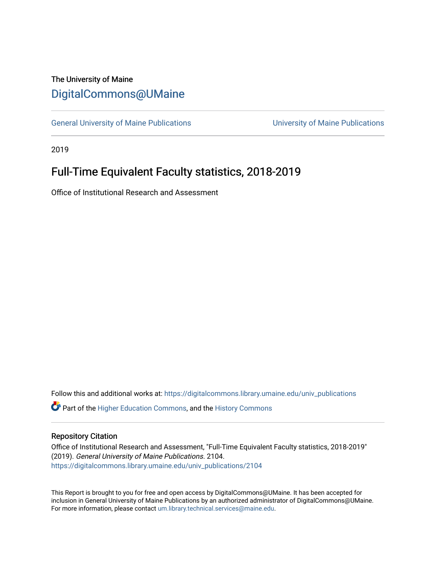# The University of Maine [DigitalCommons@UMaine](https://digitalcommons.library.umaine.edu/)

[General University of Maine Publications](https://digitalcommons.library.umaine.edu/univ_publications) [University of Maine Publications](https://digitalcommons.library.umaine.edu/umaine_publications) 

2019

# Full-Time Equivalent Faculty statistics, 2018-2019

Office of Institutional Research and Assessment

Follow this and additional works at: [https://digitalcommons.library.umaine.edu/univ\\_publications](https://digitalcommons.library.umaine.edu/univ_publications?utm_source=digitalcommons.library.umaine.edu%2Funiv_publications%2F2104&utm_medium=PDF&utm_campaign=PDFCoverPages) 

**C** Part of the [Higher Education Commons,](http://network.bepress.com/hgg/discipline/1245?utm_source=digitalcommons.library.umaine.edu%2Funiv_publications%2F2104&utm_medium=PDF&utm_campaign=PDFCoverPages) and the [History Commons](http://network.bepress.com/hgg/discipline/489?utm_source=digitalcommons.library.umaine.edu%2Funiv_publications%2F2104&utm_medium=PDF&utm_campaign=PDFCoverPages)

## Repository Citation

Office of Institutional Research and Assessment, "Full-Time Equivalent Faculty statistics, 2018-2019" (2019). General University of Maine Publications. 2104. [https://digitalcommons.library.umaine.edu/univ\\_publications/2104](https://digitalcommons.library.umaine.edu/univ_publications/2104?utm_source=digitalcommons.library.umaine.edu%2Funiv_publications%2F2104&utm_medium=PDF&utm_campaign=PDFCoverPages)

This Report is brought to you for free and open access by DigitalCommons@UMaine. It has been accepted for inclusion in General University of Maine Publications by an authorized administrator of DigitalCommons@UMaine. For more information, please contact [um.library.technical.services@maine.edu](mailto:um.library.technical.services@maine.edu).